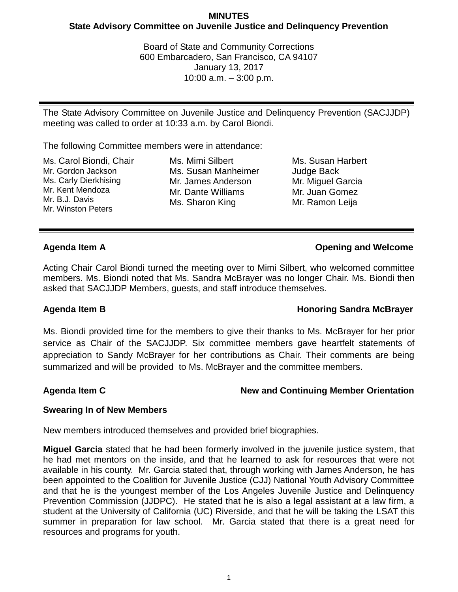## **MINUTES State Advisory Committee on Juvenile Justice and Delinquency Prevention**

Board of State and Community Corrections 600 Embarcadero, San Francisco, CA 94107 January 13, 2017 10:00 a.m. – 3:00 p.m.

The State Advisory Committee on Juvenile Justice and Delinquency Prevention (SACJJDP) meeting was called to order at 10:33 a.m. by Carol Biondi.

The following Committee members were in attendance:

Ms. Carol Biondi, Chair Mr. Gordon Jackson Ms. Carly Dierkhising Mr. Kent Mendoza Mr. B.J. Davis Mr. Winston Peters

Ms. Mimi Silbert Ms. Susan Manheimer Mr. James Anderson Mr. Dante Williams Ms. Sharon King

Ms. Susan Harbert Judge Back Mr. Miguel Garcia Mr. Juan Gomez Mr. Ramon Leija

## **Agenda Item A Opening and Welcome**

Acting Chair Carol Biondi turned the meeting over to Mimi Silbert, who welcomed committee members. Ms. Biondi noted that Ms. Sandra McBrayer was no longer Chair. Ms. Biondi then asked that SACJJDP Members, guests, and staff introduce themselves.

# **Agenda Item B Honoring Sandra McBrayer**

Ms. Biondi provided time for the members to give their thanks to Ms. McBrayer for her prior service as Chair of the SACJJDP. Six committee members gave heartfelt statements of appreciation to Sandy McBrayer for her contributions as Chair. Their comments are being summarized and will be provided to Ms. McBrayer and the committee members.

# Agenda Item C **New and Continuing Member Orientation**

## **Swearing In of New Members**

New members introduced themselves and provided brief biographies.

**Miguel Garcia** stated that he had been formerly involved in the juvenile justice system, that he had met mentors on the inside, and that he learned to ask for resources that were not available in his county. Mr. Garcia stated that, through working with James Anderson, he has been appointed to the Coalition for Juvenile Justice (CJJ) National Youth Advisory Committee and that he is the youngest member of the Los Angeles Juvenile Justice and Delinquency Prevention Commission (JJDPC). He stated that he is also a legal assistant at a law firm, a student at the University of California (UC) Riverside, and that he will be taking the LSAT this summer in preparation for law school. Mr. Garcia stated that there is a great need for resources and programs for youth.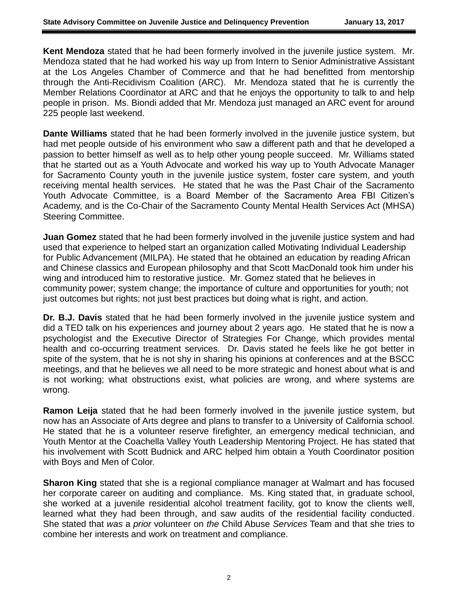**Kent Mendoza** stated that he had been formerly involved in the juvenile justice system. Mr. Mendoza stated that he had worked his way up from Intern to Senior Administrative Assistant at the Los Angeles Chamber of Commerce and that he had benefitted from mentorship through the Anti-Recidivism Coalition (ARC). Mr. Mendoza stated that he is currently the Member Relations Coordinator at ARC and that he enjoys the opportunity to talk to and help people in prison. Ms. Biondi added that Mr. Mendoza just managed an ARC event for around 225 people last weekend.

**Dante Williams** stated that he had been formerly involved in the juvenile justice system, but had met people outside of his environment who saw a different path and that he developed a passion to better himself as well as to help other young people succeed. Mr. Williams stated that he started out as a Youth Advocate and worked his way up to Youth Advocate Manager for Sacramento County youth in the juvenile justice system, foster care system, and youth receiving mental health services. He stated that he was the Past Chair of the Sacramento Youth Advocate Committee, is a Board Member of the Sacramento Area FBI Citizen's Academy, and is the Co-Chair of the Sacramento County Mental Health Services Act (MHSA) Steering Committee.

**Juan Gomez** stated that he had been formerly involved in the juvenile justice system and had used that experience to helped start an organization called Motivating Individual Leadership for Public Advancement (MILPA). He stated that he obtained an education by reading African and Chinese classics and European philosophy and that Scott MacDonald took him under his wing and introduced him to restorative justice. Mr. Gomez stated that he believes in community power; system change; the importance of culture and opportunities for youth; not just outcomes but rights; not just best practices but doing what is right, and action.

**Dr. B.J. Davis** stated that he had been formerly involved in the juvenile justice system and did a TED talk on his experiences and journey about 2 years ago. He stated that he is now a psychologist and the Executive Director of Strategies For Change, which provides mental health and co-occurring treatment services. Dr. Davis stated he feels like he got better in spite of the system, that he is not shy in sharing his opinions at conferences and at the BSCC meetings, and that he believes we all need to be more strategic and honest about what is and is not working; what obstructions exist, what policies are wrong, and where systems are wrong.

**Ramon Leija** stated that he had been formerly involved in the juvenile justice system, but now has an Associate of Arts degree and plans to transfer to a University of California school. He stated that he is a volunteer reserve firefighter, an emergency medical technician, and Youth Mentor at the Coachella Valley Youth Leadership Mentoring Project. He has stated that his involvement with Scott Budnick and ARC helped him obtain a Youth Coordinator position with Boys and Men of Color.

**Sharon King** stated that she is a regional compliance manager at Walmart and has focused her corporate career on auditing and compliance. Ms. King stated that, in graduate school, she worked at a juvenile residential alcohol treatment facility, got to know the clients well, learned what they had been through, and saw audits of the residential facility conducted. She stated that *was* a *prior* volunteer on *the* Child Abuse *Services* Team and that she tries to combine her interests and work on treatment and compliance.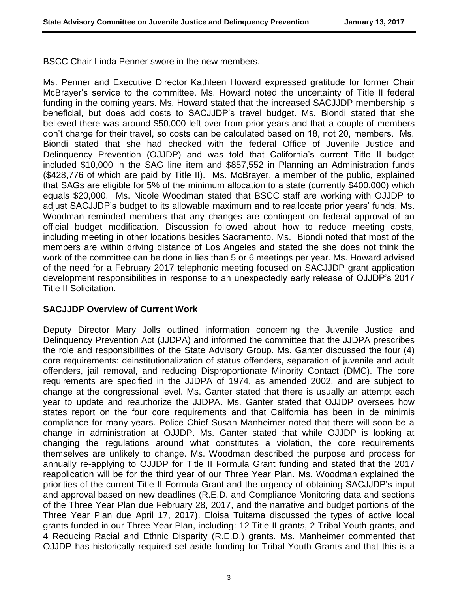BSCC Chair Linda Penner swore in the new members.

Ms. Penner and Executive Director Kathleen Howard expressed gratitude for former Chair McBrayer's service to the committee. Ms. Howard noted the uncertainty of Title II federal funding in the coming years. Ms. Howard stated that the increased SACJJDP membership is beneficial, but does add costs to SACJJDP's travel budget. Ms. Biondi stated that she believed there was around \$50,000 left over from prior years and that a couple of members don't charge for their travel, so costs can be calculated based on 18, not 20, members. Ms. Biondi stated that she had checked with the federal Office of Juvenile Justice and Delinquency Prevention (OJJDP) and was told that California's current Title II budget included \$10,000 in the SAG line item and \$857,552 in Planning an Administration funds (\$428,776 of which are paid by Title II). Ms. McBrayer, a member of the public, explained that SAGs are eligible for 5% of the minimum allocation to a state (currently \$400,000) which equals \$20,000. Ms. Nicole Woodman stated that BSCC staff are working with OJJDP to adjust SACJJDP's budget to its allowable maximum and to reallocate prior years' funds. Ms. Woodman reminded members that any changes are contingent on federal approval of an official budget modification. Discussion followed about how to reduce meeting costs, including meeting in other locations besides Sacramento. Ms. Biondi noted that most of the members are within driving distance of Los Angeles and stated the she does not think the work of the committee can be done in lies than 5 or 6 meetings per year. Ms. Howard advised of the need for a February 2017 telephonic meeting focused on SACJJDP grant application development responsibilities in response to an unexpectedly early release of OJJDP's 2017 Title II Solicitation.

## **SACJJDP Overview of Current Work**

Deputy Director Mary Jolls outlined information concerning the Juvenile Justice and Delinquency Prevention Act (JJDPA) and informed the committee that the JJDPA prescribes the role and responsibilities of the State Advisory Group. Ms. Ganter discussed the four (4) core requirements: deinstitutionalization of status offenders, separation of juvenile and adult offenders, jail removal, and reducing Disproportionate Minority Contact (DMC). The core requirements are specified in the JJDPA of 1974, as amended 2002, and are subject to change at the congressional level. Ms. Ganter stated that there is usually an attempt each year to update and reauthorize the JJDPA. Ms. Ganter stated that OJJDP oversees how states report on the four core requirements and that California has been in de minimis compliance for many years. Police Chief Susan Manheimer noted that there will soon be a change in administration at OJJDP. Ms. Ganter stated that while OJJDP is looking at changing the regulations around what constitutes a violation, the core requirements themselves are unlikely to change. Ms. Woodman described the purpose and process for annually re-applying to OJJDP for Title II Formula Grant funding and stated that the 2017 reapplication will be for the third year of our Three Year Plan. Ms. Woodman explained the priorities of the current Title II Formula Grant and the urgency of obtaining SACJJDP's input and approval based on new deadlines (R.E.D. and Compliance Monitoring data and sections of the Three Year Plan due February 28, 2017, and the narrative and budget portions of the Three Year Plan due April 17, 2017). Eloisa Tuitama discussed the types of active local grants funded in our Three Year Plan, including: 12 Title II grants, 2 Tribal Youth grants, and 4 Reducing Racial and Ethnic Disparity (R.E.D.) grants. Ms. Manheimer commented that OJJDP has historically required set aside funding for Tribal Youth Grants and that this is a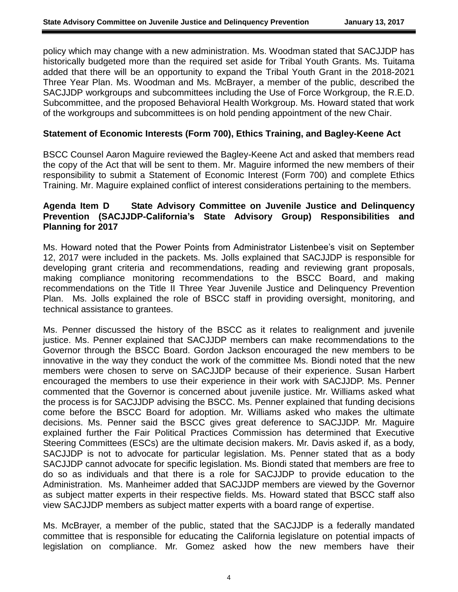policy which may change with a new administration. Ms. Woodman stated that SACJJDP has historically budgeted more than the required set aside for Tribal Youth Grants. Ms. Tuitama added that there will be an opportunity to expand the Tribal Youth Grant in the 2018-2021 Three Year Plan. Ms. Woodman and Ms. McBrayer, a member of the public, described the SACJJDP workgroups and subcommittees including the Use of Force Workgroup, the R.E.D. Subcommittee, and the proposed Behavioral Health Workgroup. Ms. Howard stated that work of the workgroups and subcommittees is on hold pending appointment of the new Chair.

### **Statement of Economic Interests (Form 700), Ethics Training, and Bagley-Keene Act**

BSCC Counsel Aaron Maguire reviewed the Bagley-Keene Act and asked that members read the copy of the Act that will be sent to them. Mr. Maguire informed the new members of their responsibility to submit a Statement of Economic Interest (Form 700) and complete Ethics Training. Mr. Maguire explained conflict of interest considerations pertaining to the members.

## **Agenda Item D State Advisory Committee on Juvenile Justice and Delinquency Prevention (SACJJDP-California's State Advisory Group) Responsibilities and Planning for 2017**

Ms. Howard noted that the Power Points from Administrator Listenbee's visit on September 12, 2017 were included in the packets. Ms. Jolls explained that SACJJDP is responsible for developing grant criteria and recommendations, reading and reviewing grant proposals, making compliance monitoring recommendations to the BSCC Board, and making recommendations on the Title II Three Year Juvenile Justice and Delinquency Prevention Plan. Ms. Jolls explained the role of BSCC staff in providing oversight, monitoring, and technical assistance to grantees.

Ms. Penner discussed the history of the BSCC as it relates to realignment and juvenile justice. Ms. Penner explained that SACJJDP members can make recommendations to the Governor through the BSCC Board. Gordon Jackson encouraged the new members to be innovative in the way they conduct the work of the committee Ms. Biondi noted that the new members were chosen to serve on SACJJDP because of their experience. Susan Harbert encouraged the members to use their experience in their work with SACJJDP. Ms. Penner commented that the Governor is concerned about juvenile justice. Mr. Williams asked what the process is for SACJJDP advising the BSCC. Ms. Penner explained that funding decisions come before the BSCC Board for adoption. Mr. Williams asked who makes the ultimate decisions. Ms. Penner said the BSCC gives great deference to SACJJDP. Mr. Maguire explained further the Fair Political Practices Commission has determined that Executive Steering Committees (ESCs) are the ultimate decision makers. Mr. Davis asked if, as a body, SACJJDP is not to advocate for particular legislation. Ms. Penner stated that as a body SACJJDP cannot advocate for specific legislation. Ms. Biondi stated that members are free to do so as individuals and that there is a role for SACJJDP to provide education to the Administration. Ms. Manheimer added that SACJJDP members are viewed by the Governor as subject matter experts in their respective fields. Ms. Howard stated that BSCC staff also view SACJJDP members as subject matter experts with a board range of expertise.

Ms. McBrayer, a member of the public, stated that the SACJJDP is a federally mandated committee that is responsible for educating the California legislature on potential impacts of legislation on compliance. Mr. Gomez asked how the new members have their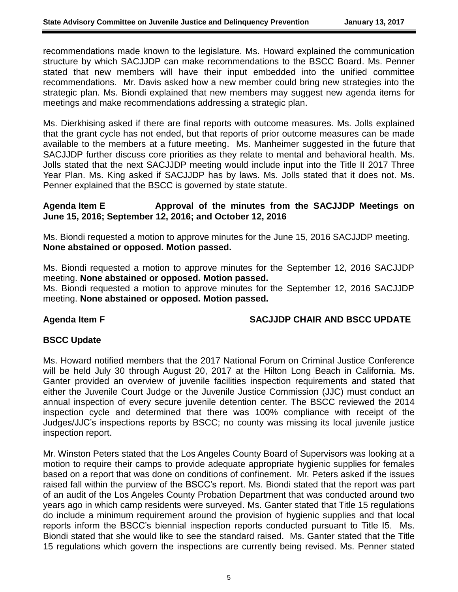recommendations made known to the legislature. Ms. Howard explained the communication structure by which SACJJDP can make recommendations to the BSCC Board. Ms. Penner stated that new members will have their input embedded into the unified committee recommendations. Mr. Davis asked how a new member could bring new strategies into the strategic plan. Ms. Biondi explained that new members may suggest new agenda items for meetings and make recommendations addressing a strategic plan.

Ms. Dierkhising asked if there are final reports with outcome measures. Ms. Jolls explained that the grant cycle has not ended, but that reports of prior outcome measures can be made available to the members at a future meeting. Ms. Manheimer suggested in the future that SACJJDP further discuss core priorities as they relate to mental and behavioral health. Ms. Jolls stated that the next SACJJDP meeting would include input into the Title II 2017 Three Year Plan. Ms. King asked if SACJJDP has by laws. Ms. Jolls stated that it does not. Ms. Penner explained that the BSCC is governed by state statute.

### Agenda Item E Approval of the minutes from the SACJJDP Meetings on **June 15, 2016; September 12, 2016; and October 12, 2016**

Ms. Biondi requested a motion to approve minutes for the June 15, 2016 SACJJDP meeting. **None abstained or opposed. Motion passed.**

Ms. Biondi requested a motion to approve minutes for the September 12, 2016 SACJJDP meeting. **None abstained or opposed. Motion passed.**

Ms. Biondi requested a motion to approve minutes for the September 12, 2016 SACJJDP meeting. **None abstained or opposed. Motion passed.**

## Agenda Item F SACJJDP CHAIR AND BSCC UPDATE

## **BSCC Update**

Ms. Howard notified members that the 2017 National Forum on Criminal Justice Conference will be held July 30 through August 20, 2017 at the Hilton Long Beach in California. Ms. Ganter provided an overview of juvenile facilities inspection requirements and stated that either the Juvenile Court Judge or the Juvenile Justice Commission (JJC) must conduct an annual inspection of every secure juvenile detention center. The BSCC reviewed the 2014 inspection cycle and determined that there was 100% compliance with receipt of the Judges/JJC's inspections reports by BSCC; no county was missing its local juvenile justice inspection report.

Mr. Winston Peters stated that the Los Angeles County Board of Supervisors was looking at a motion to require their camps to provide adequate appropriate hygienic supplies for females based on a report that was done on conditions of confinement. Mr. Peters asked if the issues raised fall within the purview of the BSCC's report. Ms. Biondi stated that the report was part of an audit of the Los Angeles County Probation Department that was conducted around two years ago in which camp residents were surveyed. Ms. Ganter stated that Title 15 regulations do include a minimum requirement around the provision of hygienic supplies and that local reports inform the BSCC's biennial inspection reports conducted pursuant to Title I5. Ms. Biondi stated that she would like to see the standard raised. Ms. Ganter stated that the Title 15 regulations which govern the inspections are currently being revised. Ms. Penner stated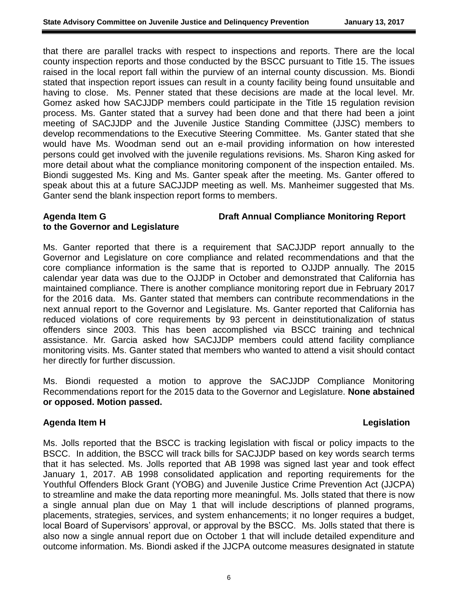that there are parallel tracks with respect to inspections and reports. There are the local county inspection reports and those conducted by the BSCC pursuant to Title 15. The issues raised in the local report fall within the purview of an internal county discussion. Ms. Biondi stated that inspection report issues can result in a county facility being found unsuitable and having to close. Ms. Penner stated that these decisions are made at the local level. Mr. Gomez asked how SACJJDP members could participate in the Title 15 regulation revision process. Ms. Ganter stated that a survey had been done and that there had been a joint meeting of SACJJDP and the Juvenile Justice Standing Committee (JJSC) members to develop recommendations to the Executive Steering Committee. Ms. Ganter stated that she would have Ms. Woodman send out an e-mail providing information on how interested persons could get involved with the juvenile regulations revisions. Ms. Sharon King asked for more detail about what the compliance monitoring component of the inspection entailed. Ms. Biondi suggested Ms. King and Ms. Ganter speak after the meeting. Ms. Ganter offered to speak about this at a future SACJJDP meeting as well. Ms. Manheimer suggested that Ms. Ganter send the blank inspection report forms to members.

## **Agenda Item G Draft Annual Compliance Monitoring Report to the Governor and Legislature**

Ms. Ganter reported that there is a requirement that SACJJDP report annually to the Governor and Legislature on core compliance and related recommendations and that the core compliance information is the same that is reported to OJJDP annually. The 2015 calendar year data was due to the OJJDP in October and demonstrated that California has maintained compliance. There is another compliance monitoring report due in February 2017 for the 2016 data. Ms. Ganter stated that members can contribute recommendations in the next annual report to the Governor and Legislature. Ms. Ganter reported that California has reduced violations of core requirements by 93 percent in deinstitutionalization of status offenders since 2003. This has been accomplished via BSCC training and technical assistance. Mr. Garcia asked how SACJJDP members could attend facility compliance monitoring visits. Ms. Ganter stated that members who wanted to attend a visit should contact her directly for further discussion.

Ms. Biondi requested a motion to approve the SACJJDP Compliance Monitoring Recommendations report for the 2015 data to the Governor and Legislature. **None abstained or opposed. Motion passed.**

## **Agenda Item H** Legislation **Contract Contract Contract Contract Contract Contract Contract Contract Contract Contract Contract Contract Contract Contract Contract Contract Contract Contract Contract Contract Contract Cont**

Ms. Jolls reported that the BSCC is tracking legislation with fiscal or policy impacts to the BSCC. In addition, the BSCC will track bills for SACJJDP based on key words search terms that it has selected. Ms. Jolls reported that AB 1998 was signed last year and took effect January 1, 2017. AB 1998 consolidated application and reporting requirements for the Youthful Offenders Block Grant (YOBG) and Juvenile Justice Crime Prevention Act (JJCPA) to streamline and make the data reporting more meaningful. Ms. Jolls stated that there is now a single annual plan due on May 1 that will include descriptions of planned programs, placements, strategies, services, and system enhancements; it no longer requires a budget, local Board of Supervisors' approval, or approval by the BSCC. Ms. Jolls stated that there is also now a single annual report due on October 1 that will include detailed expenditure and outcome information. Ms. Biondi asked if the JJCPA outcome measures designated in statute